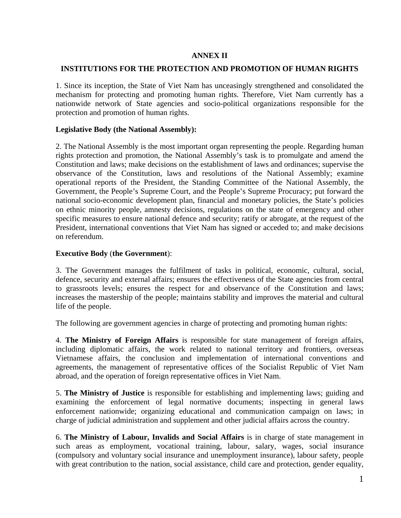# **ANNEX II**

# **INSTITUTIONS FOR THE PROTECTION AND PROMOTION OF HUMAN RIGHTS**

1. Since its inception, the State of Viet Nam has unceasingly strengthened and consolidated the mechanism for protecting and promoting human rights. Therefore, Viet Nam currently has a nationwide network of State agencies and socio-political organizations responsible for the protection and promotion of human rights.

### **Legislative Body (the National Assembly):**

2. The National Assembly is the most important organ representing the people. Regarding human rights protection and promotion, the National Assembly's task is to promulgate and amend the Constitution and laws; make decisions on the establishment of laws and ordinances; supervise the observance of the Constitution, laws and resolutions of the National Assembly; examine operational reports of the President, the Standing Committee of the National Assembly, the Government, the People's Supreme Court, and the People's Supreme Procuracy; put forward the national socio-economic development plan, financial and monetary policies, the State's policies on ethnic minority people, amnesty decisions, regulations on the state of emergency and other specific measures to ensure national defence and security; ratify or abrogate, at the request of the President, international conventions that Viet Nam has signed or acceded to; and make decisions on referendum.

# **Executive Body** (**the Government**):

3. The Government manages the fulfilment of tasks in political, economic, cultural, social, defence, security and external affairs; ensures the effectiveness of the State agencies from central to grassroots levels; ensures the respect for and observance of the Constitution and laws; increases the mastership of the people; maintains stability and improves the material and cultural life of the people.

The following are government agencies in charge of protecting and promoting human rights:

4. **The Ministry of Foreign Affairs** is responsible for state management of foreign affairs, including diplomatic affairs, the work related to national territory and frontiers, overseas Vietnamese affairs, the conclusion and implementation of international conventions and agreements, the management of representative offices of the Socialist Republic of Viet Nam abroad, and the operation of foreign representative offices in Viet Nam.

5. **The Ministry of Justice** is responsible for establishing and implementing laws; guiding and examining the enforcement of legal normative documents; inspecting in general laws enforcement nationwide; organizing educational and communication campaign on laws; in charge of judicial administration and supplement and other judicial affairs across the country.

6. **The Ministry of Labour, Invalids and Social Affairs** is in charge of state management in such areas as employment, vocational training, labour, salary, wages, social insurance (compulsory and voluntary social insurance and unemployment insurance), labour safety, people with great contribution to the nation, social assistance, child care and protection, gender equality,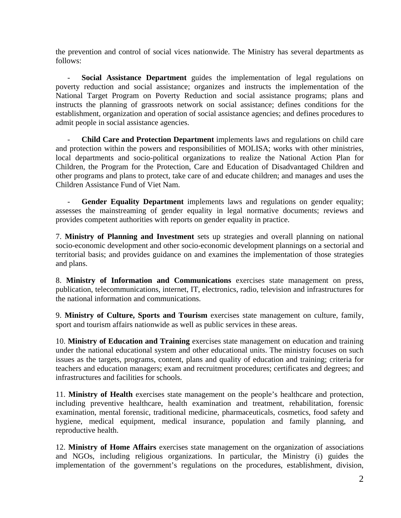the prevention and control of social vices nationwide. The Ministry has several departments as follows:

- **Social Assistance Department** guides the implementation of legal regulations on poverty reduction and social assistance; organizes and instructs the implementation of the National Target Program on Poverty Reduction and social assistance programs; plans and instructs the planning of grassroots network on social assistance; defines conditions for the establishment, organization and operation of social assistance agencies; and defines procedures to admit people in social assistance agencies.

- **Child Care and Protection Department** implements laws and regulations on child care and protection within the powers and responsibilities of MOLISA; works with other ministries, local departments and socio-political organizations to realize the National Action Plan for Children, the Program for the Protection, Care and Education of Disadvantaged Children and other programs and plans to protect, take care of and educate children; and manages and uses the Children Assistance Fund of Viet Nam.

Gender Equality Department implements laws and regulations on gender equality; assesses the mainstreaming of gender equality in legal normative documents; reviews and provides competent authorities with reports on gender equality in practice.

7. **Ministry of Planning and Investment** sets up strategies and overall planning on national socio-economic development and other socio-economic development plannings on a sectorial and territorial basis; and provides guidance on and examines the implementation of those strategies and plans.

8. **Ministry of Information and Communications** exercises state management on press, publication, telecommunications, internet, IT, electronics, radio, television and infrastructures for the national information and communications.

9. **Ministry of Culture, Sports and Tourism** exercises state management on culture, family, sport and tourism affairs nationwide as well as public services in these areas.

10. **Ministry of Education and Training** exercises state management on education and training under the national educational system and other educational units. The ministry focuses on such issues as the targets, programs, content, plans and quality of education and training; criteria for teachers and education managers; exam and recruitment procedures; certificates and degrees; and infrastructures and facilities for schools.

11. **Ministry of Health** exercises state management on the people's healthcare and protection, including preventive healthcare, health examination and treatment, rehabilitation, forensic examination, mental forensic, traditional medicine, pharmaceuticals, cosmetics, food safety and hygiene, medical equipment, medical insurance, population and family planning, and reproductive health.

12. **Ministry of Home Affairs** exercises state management on the organization of associations and NGOs, including religious organizations. In particular, the Ministry (i) guides the implementation of the government's regulations on the procedures, establishment, division,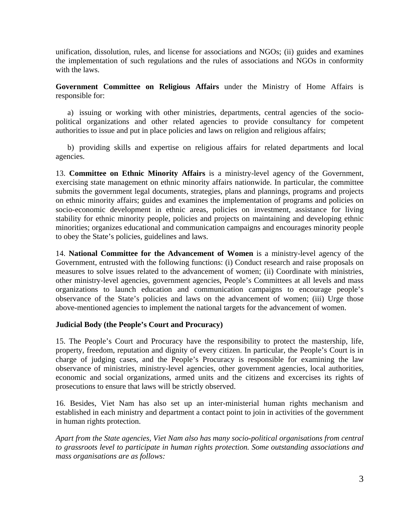unification, dissolution, rules, and license for associations and NGOs; (ii) guides and examines the implementation of such regulations and the rules of associations and NGOs in conformity with the laws.

**Government Committee on Religious Affairs** under the Ministry of Home Affairs is responsible for:

a) issuing or working with other ministries, departments, central agencies of the sociopolitical organizations and other related agencies to provide consultancy for competent authorities to issue and put in place policies and laws on religion and religious affairs;

b) providing skills and expertise on religious affairs for related departments and local agencies.

13. **Committee on Ethnic Minority Affairs** is a ministry-level agency of the Government, exercising state management on ethnic minority affairs nationwide. In particular, the committee submits the government legal documents, strategies, plans and plannings, programs and projects on ethnic minority affairs; guides and examines the implementation of programs and policies on socio-economic development in ethnic areas, policies on investment, assistance for living stability for ethnic minority people, policies and projects on maintaining and developing ethnic minorities; organizes educational and communication campaigns and encourages minority people to obey the State's policies, guidelines and laws.

14. **National Committee for the Advancement of Women** is a ministry-level agency of the Government, entrusted with the following functions: (i) Conduct research and raise proposals on measures to solve issues related to the advancement of women; (ii) Coordinate with ministries, other ministry-level agencies, government agencies, People's Committees at all levels and mass organizations to launch education and communication campaigns to encourage people's observance of the State's policies and laws on the advancement of women; (iii) Urge those above-mentioned agencies to implement the national targets for the advancement of women.

#### **Judicial Body (the People's Court and Procuracy)**

15. The People's Court and Procuracy have the responsibility to protect the mastership, life, property, freedom, reputation and dignity of every citizen. In particular, the People's Court is in charge of judging cases, and the People's Procuracy is responsible for examining the law observance of ministries, ministry-level agencies, other government agencies, local authorities, economic and social organizations, armed units and the citizens and excercises its rights of prosecutions to ensure that laws will be strictly observed.

16. Besides, Viet Nam has also set up an inter-ministerial human rights mechanism and established in each ministry and department a contact point to join in activities of the government in human rights protection.

*Apart from the State agencies, Viet Nam also has many socio-political organisations from central to grassroots level to participate in human rights protection. Some outstanding associations and mass organisations are as follows:*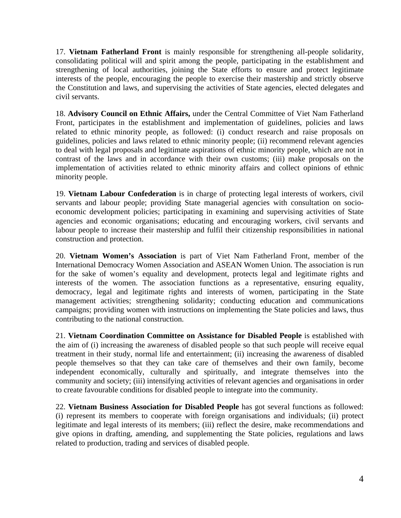17. **Vietnam Fatherland Front** is mainly responsible for strengthening all-people solidarity, consolidating political will and spirit among the people, participating in the establishment and strengthening of local authorities, joining the State efforts to ensure and protect legitimate interests of the people, encouraging the people to exercise their mastership and strictly observe the Constitution and laws, and supervising the activities of State agencies, elected delegates and civil servants.

18. **Advisory Council on Ethnic Affairs,** under the Central Committee of Viet Nam Fatherland Front, participates in the establishment and implementation of guidelines, policies and laws related to ethnic minority people, as followed: (i) conduct research and raise proposals on guidelines, policies and laws related to ethnic minority people; (ii) recommend relevant agencies to deal with legal proposals and legitimate aspirations of ethnic minority people, which are not in contrast of the laws and in accordance with their own customs; (iii) make proposals on the implementation of activities related to ethnic minority affairs and collect opinions of ethnic minority people.

19. **Vietnam Labour Confederation** is in charge of protecting legal interests of workers, civil servants and labour people; providing State managerial agencies with consultation on socioeconomic development policies; participating in examining and supervising activities of State agencies and economic organisations; educating and encouraging workers, civil servants and labour people to increase their mastership and fulfil their citizenship responsibilities in national construction and protection.

20. **Vietnam Women's Association** is part of Viet Nam Fatherland Front, member of the International Democracy Women Association and ASEAN Women Union. The association is run for the sake of women's equality and development, protects legal and legitimate rights and interests of the women. The association functions as a representative, ensuring equality, democracy, legal and legitimate rights and interests of women, participating in the State management activities; strengthening solidarity; conducting education and communications campaigns; providing women with instructions on implementing the State policies and laws, thus contributing to the national construction.

21. **Vietnam Coordination Committee on Assistance for Disabled People** is established with the aim of (i) increasing the awareness of disabled people so that such people will receive equal treatment in their study, normal life and entertainment; (ii) increasing the awareness of disabled people themselves so that they can take care of themselves and their own family, become independent economically, culturally and spiritually, and integrate themselves into the community and society; (iii) intensifying activities of relevant agencies and organisations in order to create favourable conditions for disabled people to integrate into the community.

22. **Vietnam Business Association for Disabled People** has got several functions as followed: (i) represent its members to cooperate with foreign organisations and individuals; (ii) protect legitimate and legal interests of its members; (iii) reflect the desire, make recommendations and give opions in drafting, amending, and supplementing the State policies, regulations and laws related to production, trading and services of disabled people.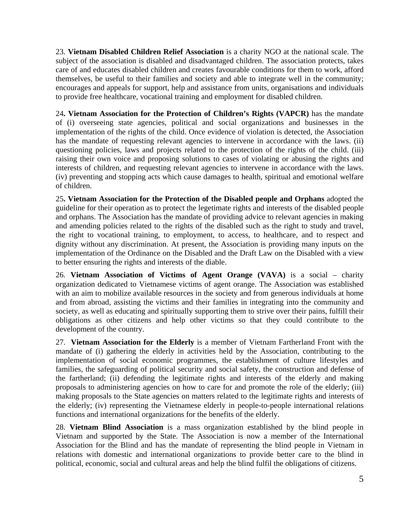23. **Vietnam Disabled Children Relief Association** is a charity NGO at the national scale. The subject of the association is disabled and disadvantaged children. The association protects, takes care of and educates disabled children and creates favourable conditions for them to work, afford themselves, be useful to their families and society and able to integrate well in the community; encourages and appeals for support, help and assistance from units, organisations and individuals to provide free healthcare, vocational training and employment for disabled children.

24**. Vietnam Association for the Protection of Children's Rights (VAPCR)** has the mandate of (i) overseeing state agencies, political and social organizations and businesses in the implementation of the rights of the child. Once evidence of violation is detected, the Association has the mandate of requesting relevant agencies to intervene in accordance with the laws. (ii) questioning policies, laws and projects related to the protection of the rights of the child. (iii) raising their own voice and proposing solutions to cases of violating or abusing the rights and interests of children, and requesting relevant agencies to intervene in accordance with the laws. (iv) preventing and stopping acts which cause damages to health, spiritual and emotional welfare of children.

25**. Vietnam Association for the Protection of the Disabled people and Orphans** adopted the guideline for their operation as to protect the legetimate rights and interests of the disabled people and orphans. The Association has the mandate of providing advice to relevant agencies in making and amending policies related to the rights of the disabled such as the right to study and travel, the right to vocational training, to employment, to access, to healthcare, and to respect and dignity without any discrimination. At present, the Association is providing many inputs on the implementation of the Ordinance on the Disabled and the Draft Law on the Disabled with a view to better ensuring the rights and interests of the diable.

26. **Vietnam Association of Victims of Agent Orange (VAVA)** is a social – charity organization dedicated to Vietnamese victims of agent orange. The Association was established with an aim to mobilize available resources in the society and from generous individuals at home and from abroad, assisting the victims and their families in integrating into the community and society, as well as educating and spiritually supporting them to strive over their pains, fulfill their obligations as other citizens and help other victims so that they could contribute to the development of the country.

27. **Vietnam Association for the Elderly** is a member of Vietnam Fartherland Front with the mandate of (i) gathering the elderly in activities held by the Association, contributing to the implementation of social economic programmes, the establishment of culture lifestyles and families, the safeguarding of political security and social safety, the construction and defense of the fartherland; (ii) defending the legitimate rights and interests of the elderly and making proposals to administering agencies on how to care for and promote the role of the elderly; (iii) making proposals to the State agencies on matters related to the legitimate rights and interests of the elderly; (iv) representing the Vietnamese elderly in people-to-people international relations functions and international organizations for the benefits of the elderly.

28. **Vietnam Blind Association** is a mass organization established by the blind people in Vietnam and supported by the State. The Association is now a member of the International Association for the Blind and has the mandate of representing the blind people in Vietnam in relations with domestic and international organizations to provide better care to the blind in political, economic, social and cultural areas and help the blind fulfil the obligations of citizens.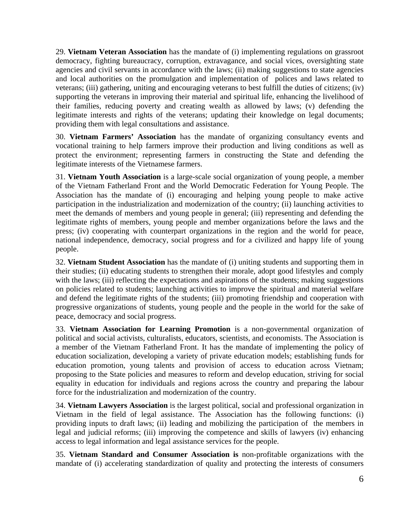29. **Vietnam Veteran Association** has the mandate of (i) implementing regulations on grassroot democracy, fighting bureaucracy, corruption, extravagance, and social vices, oversighting state agencies and civil servants in accordance with the laws; (ii) making suggestions to state agencies and local authorities on the promulgation and implementation of polices and laws related to veterans; (iii) gathering, uniting and encouraging veterans to best fulfill the duties of citizens; (iv) supporting the veterans in improving their material and spiritual life, enhancing the livelihood of their families, reducing poverty and creating wealth as allowed by laws; (v) defending the legitimate interests and rights of the veterans; updating their knowledge on legal documents; providing them with legal consultations and assistance.

30. **Vietnam Farmers' Association** has the mandate of organizing consultancy events and vocational training to help farmers improve their production and living conditions as well as protect the environment; representing farmers in constructing the State and defending the legitimate interests of the Vietnamese farmers.

31. **Vietnam Youth Association** is a large-scale social organization of young people, a member of the Vietnam Fatherland Front and the World Democratic Federation for Young People. The Association has the mandate of (i) encouraging and helping young people to make active participation in the industrialization and modernization of the country; (ii) launching activities to meet the demands of members and young people in general; (iii) representing and defending the legitimate rights of members, young people and member organizations before the laws and the press; (iv) cooperating with counterpart organizations in the region and the world for peace, national independence, democracy, social progress and for a civilized and happy life of young people.

32. **Vietnam Student Association** has the mandate of (i) uniting students and supporting them in their studies; (ii) educating students to strengthen their morale, adopt good lifestyles and comply with the laws; (iii) reflecting the expectations and aspirations of the students; making suggestions on policies related to students; launching activities to improve the spiritual and material welfare and defend the legitimate rights of the students; (iii) promoting friendship and cooperation with progressive organizations of students, young people and the people in the world for the sake of peace, democracy and social progress.

33. **Vietnam Association for Learning Promotion** is a non-governmental organization of political and social activists, culturalists, educators, scientists, and economists. The Association is a member of the Vietnam Fatherland Front. It has the mandate of implementing the policy of education socialization, developing a variety of private education models; establishing funds for education promotion, young talents and provision of access to education across Vietnam; proposing to the State policies and measures to reform and develop education, striving for social equality in education for individuals and regions across the country and preparing the labour force for the industrialization and modernization of the country.

34. **Vietnam Lawyers Association** is the largest political, social and professional organization in Vietnam in the field of legal assistance. The Association has the following functions: (i) providing inputs to draft laws; (ii) leading and mobilizing the participation of the members in legal and judicial reforms; (iii) improving the competence and skills of lawyers (iv) enhancing access to legal information and legal assistance services for the people.

35. **Vietnam Standard and Consumer Association is** non-profitable organizations with the mandate of (i) accelerating standardization of quality and protecting the interests of consumers